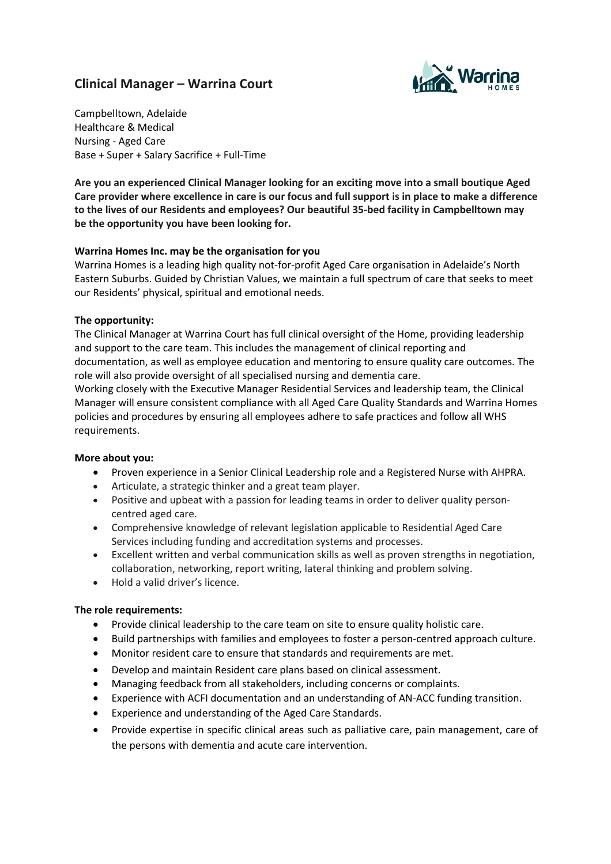# **Clinical Manager – Warrina Court**



Campbelltown, Adelaide Healthcare & Medical Nursing - Aged Care Base + Super + Salary Sacrifice + Full-Time

**Are you an experienced Clinical Manager looking for an exciting move into a small boutique Aged** Care provider where excellence in care is our focus and full support is in place to make a difference **to the lives of our Residents and employees? Our beautiful 35-bed facility in Campbelltown may be the opportunity you have been looking for.**

## **Warrina Homes Inc. may be the organisation for you**

Warrina Homes is a leading high quality not-for-profit Aged Care organisation in Adelaide's North Eastern Suburbs. Guided by Christian Values, we maintain a full spectrum of care that seeks to meet our Residents' physical, spiritual and emotional needs.

#### **The opportunity:**

The Clinical Manager at Warrina Court has full clinical oversight of the Home, providing leadership and support to the care team. This includes the management of clinical reporting and documentation, as well as employee education and mentoring to ensure quality care outcomes. The role will also provide oversight of all specialised nursing and dementia care. Working closely with the Executive Manager Residential Services and leadership team, the Clinical

Manager will ensure consistent compliance with all Aged Care Quality Standards and Warrina Homes policies and procedures by ensuring all employees adhere to safe practices and follow all WHS requirements.

#### **More about you:**

- Proven experience in a Senior Clinical Leadership role and a Registered Nurse with AHPRA.
- Articulate, a strategic thinker and a great team player.
- Positive and upbeat with a passion for leading teams in order to deliver quality personcentred aged care.
- Comprehensive knowledge of relevant legislation applicable to Residential Aged Care Services including funding and accreditation systems and processes.
- Excellent written and verbal communication skills as well as proven strengths in negotiation, collaboration, networking, report writing, lateral thinking and problem solving.
- Hold a valid driver's licence.

#### **The role requirements:**

- Provide clinical leadership to the care team on site to ensure quality holistic care.
- Build partnerships with families and employees to foster a person-centred approach culture.
- Monitor resident care to ensure that standards and requirements are met.
- Develop and maintain Resident care plans based on clinical assessment.
- Managing feedback from all stakeholders, including concerns or complaints.
- Experience with ACFI documentation and an understanding of AN-ACC funding transition.
- Experience and understanding of the Aged Care Standards.
- Provide expertise in specific clinical areas such as palliative care, pain management, care of the persons with dementia and acute care intervention.